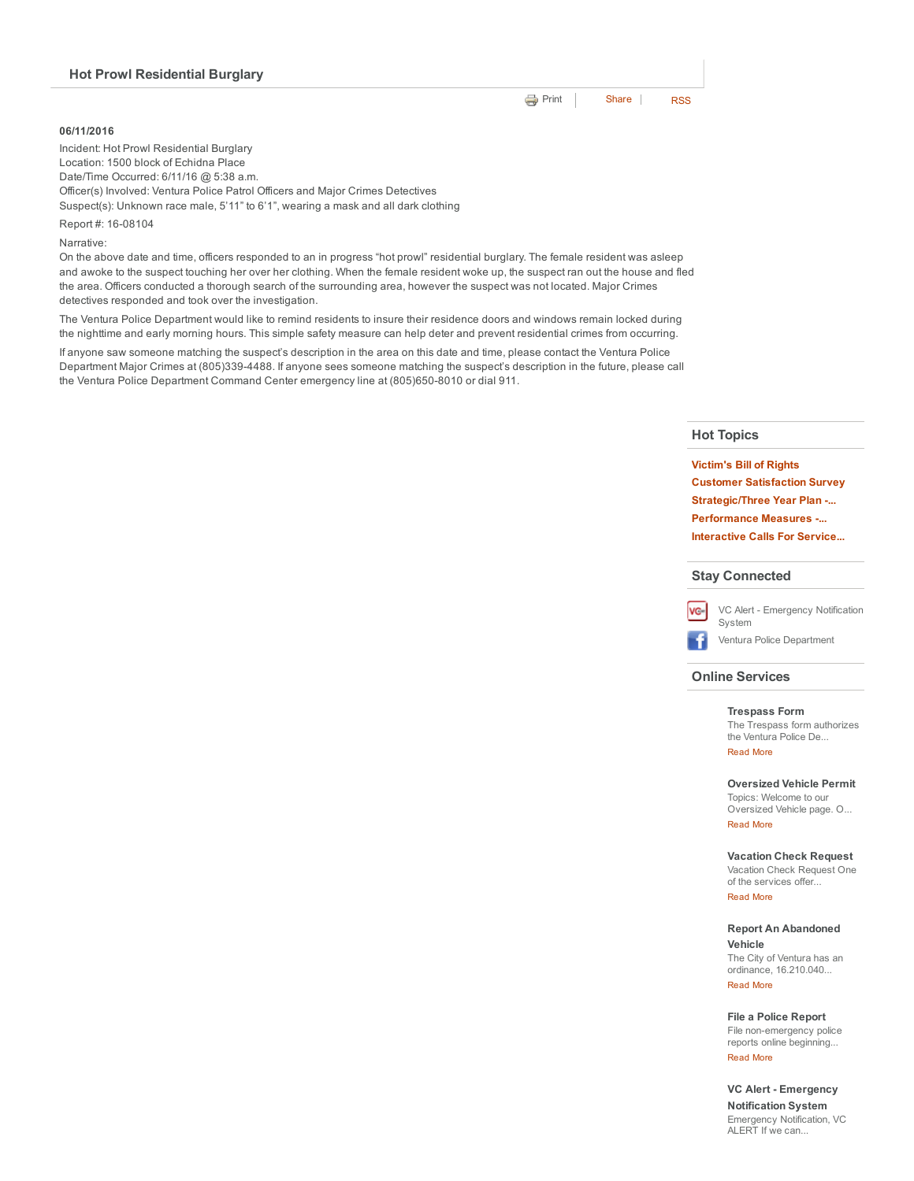### 06/11/2016

Incident: Hot Prowl Residential Burglary Location: 1500 block of Echidna Place Date/Time Occurred: 6/11/16 @ 5:38 a.m. Officer(s) Involved: Ventura Police Patrol Officers and Major Crimes Detectives Suspect(s): Unknown race male, 5'11" to 6'1", wearing a mask and all dark clothing

Report #: 16-08104

Narrative:

On the above date and time, officers responded to an in progress "hot prowl" residential burglary. The female resident was asleep and awoke to the suspect touching her over her clothing. When the female resident woke up, the suspect ran out the house and fled the area. Officers conducted a thorough search of the surrounding area, however the suspect was not located. Major Crimes detectives responded and took over the investigation.

The Ventura Police Department would like to remind residents to insure their residence doors and windows remain locked during the nighttime and early morning hours. This simple safety measure can help deter and prevent residential crimes from occurring.

If anyone saw someone matching the suspect's description in the area on this date and time, please contact the Ventura Police Department Major Crimes at (805)3394488. If anyone sees someone matching the suspect's description in the future, please call the Ventura Police Department Command Center emergency line at (805)650-8010 or dial 911.

### Hot Topics

**[Print](http://www.cityofventura.net/print/17749) | [Share](javascript:void(0)) | [RSS](http://www.cityofventura.net/feed/press_release/rss.xml)** 

[Victim's](http://www.cityofventura.net/pd/about/departments/investigations#victim%27s%20ri...) Bill of Rights Customer [Satisfaction](http://www.cityofventura.net/page/customer-satisfaction-survey) Survey [Strategic/Three](http://www.cityofventura.net/pd/about/strategicplan) Year Plan -... [Performance](http://www.cityofventura.net/pd/performancemeasures) Measures ... [Interactive](http://www.cityofventura.net/pd/crime/calls#map) Calls For Service...

#### Stay Connected



VC Alert - [Emergency](http://www.cityofventura.net/VCAlert) Notification System

Ventura Police [Department](http://www.facebook.com/venturapd)

## Online Services

#### [Trespass](http://www.cityofventura.net/node/17382) Form

The Trespass form authorizes the Ventura Police De... [Read](http://www.cityofventura.net/Trespass) More

## [Oversized](http://www.cityofventura.net/pd/services/oversizedvehicle) Vehicle Permit

Topics: Welcome to our Oversized Vehicle page. O... [Read](http://www.cityofventura.net/node/15747) More

#### [Vacation](https://secure.coplogic.com/dors/startreport/118786800/157455601) Check Request

Vacation Check Request One of the services offer...

# [Read](http://www.cityofventura.net/node/15746) More

#### Report An [Abandoned](http://www.cityofventura.net/pd/services/abandonedvehicle) Vehicle

The City of Ventura has an ordinance, 16.210.040... [Read](http://www.cityofventura.net/node/11927) More

File a Police [Report](http://www.cityofventura.net/pd/reporting/start-report)

File non-emergency police reports online beginning... [Read](http://www.cityofventura.net/node/10942) More

VC Alert - [Emergency](http://www.cityofventura.net/VCAlert) Notification System Emergency Notification, VC ALERT If we can...